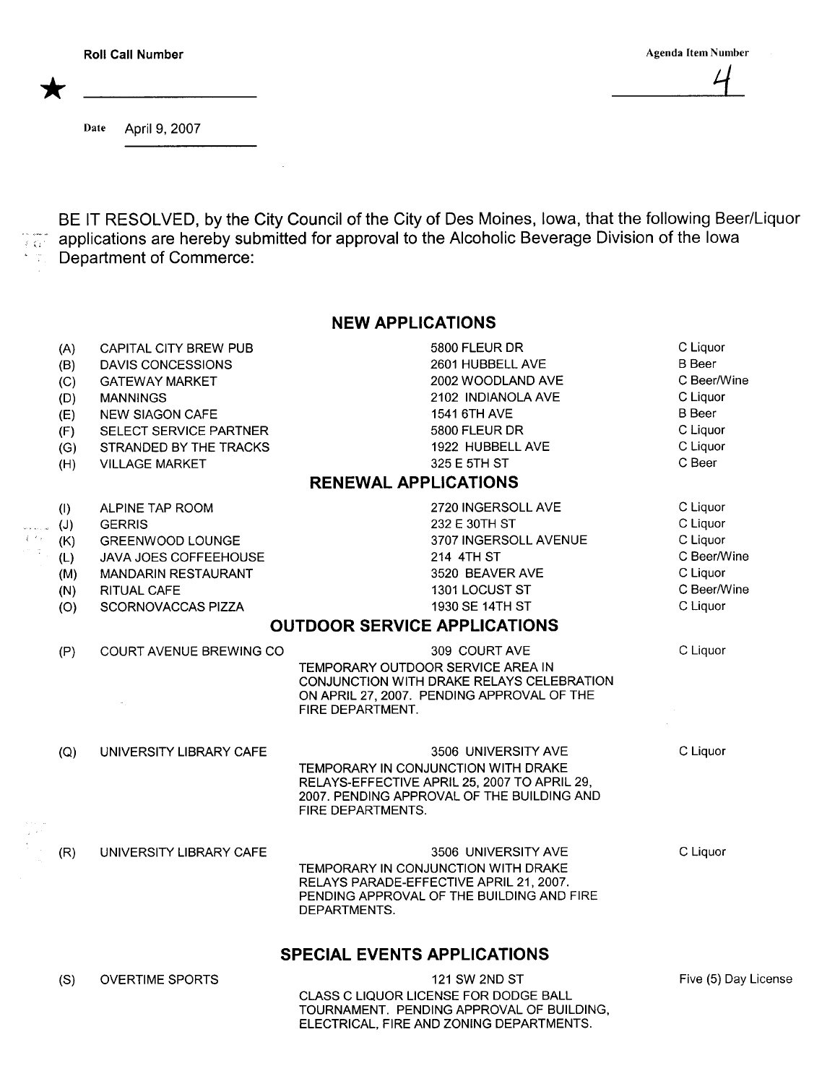\* '-

Date April 9, 2007

 $\frac{1}{2}$  ,  $\frac{1}{2}$ 

 $\sim$   $\sim$ 

 $~^{\circ}$  . And in ( BE IT RESOLVED, by the City Council of the City of Des Moines, Iowa, that the following Beer/Liquor applications are hereby submitted for approval to the Alcoholic Beverage Division of the Iowa Department of Commerce:

## NEW APPLICATIONS

|                         | (A) | CAPITAL CITY BREW PUB          | 5800 FLEUR DR                                                                  | C Liquor             |
|-------------------------|-----|--------------------------------|--------------------------------------------------------------------------------|----------------------|
|                         | (B) | DAVIS CONCESSIONS              | 2601 HUBBELL AVE                                                               | <b>B</b> Beer        |
|                         | (C) | <b>GATEWAY MARKET</b>          | 2002 WOODLAND AVE                                                              | C Beer/Wine          |
|                         | (D) | <b>MANNINGS</b>                | 2102 INDIANOLA AVE                                                             | C Liquor             |
|                         | (E) | <b>NEW SIAGON CAFE</b>         | 1541 6TH AVE                                                                   | <b>B</b> Beer        |
|                         | (F) | SELECT SERVICE PARTNER         | 5800 FLEUR DR                                                                  | C Liquor             |
|                         | (G) | STRANDED BY THE TRACKS         | 1922 HUBBELL AVE                                                               | C Liquor             |
|                         | (H) | <b>VILLAGE MARKET</b>          | 325 E 5TH ST                                                                   | C Beer               |
|                         |     |                                | <b>RENEWAL APPLICATIONS</b>                                                    |                      |
|                         | (1) | ALPINE TAP ROOM                | 2720 INGERSOLL AVE                                                             | C Liquor             |
| .<br>سانده دا           | (J) | <b>GERRIS</b>                  | 232 E 30TH ST                                                                  | C Liquor             |
| $\mathcal{E}^{(1,2)}$ : | (K) | GREENWOOD LOUNGE               | 3707 INGERSOLL AVENUE                                                          | C Liquor             |
| 1. IV                   | (L) | JAVA JOES COFFEEHOUSE          | 214 4TH ST                                                                     | C Beer/Wine          |
|                         | (M) | <b>MANDARIN RESTAURANT</b>     | 3520 BEAVER AVE                                                                | C Liquor             |
|                         | (N) | <b>RITUAL CAFE</b>             | 1301 LOCUST ST                                                                 | C Beer/Wine          |
|                         | (O) | SCORNOVACCAS PIZZA             | 1930 SE 14TH ST                                                                | C Liquor             |
|                         |     |                                | <b>OUTDOOR SERVICE APPLICATIONS</b>                                            |                      |
|                         | (P) | <b>COURT AVENUE BREWING CO</b> | 309 COURT AVE                                                                  | C Liquor             |
|                         |     |                                | TEMPORARY OUTDOOR SERVICE AREA IN<br>CONJUNCTION WITH DRAKE RELAYS CELEBRATION |                      |
|                         |     |                                | ON APRIL 27, 2007. PENDING APPROVAL OF THE<br>FIRE DEPARTMENT.                 |                      |
|                         |     |                                |                                                                                |                      |
|                         | (Q) | UNIVERSITY LIBRARY CAFE        | 3506 UNIVERSITY AVE<br>TEMPORARY IN CONJUNCTION WITH DRAKE                     | C Liquor             |
|                         |     |                                | RELAYS-EFFECTIVE APRIL 25, 2007 TO APRIL 29,                                   |                      |
|                         |     |                                | 2007. PENDING APPROVAL OF THE BUILDING AND                                     |                      |
|                         |     |                                | <b>FIRE DEPARTMENTS.</b>                                                       |                      |
|                         |     |                                |                                                                                |                      |
|                         | (R) | UNIVERSITY LIBRARY CAFE        | 3506 UNIVERSITY AVE                                                            | C Liquor             |
|                         |     |                                | TEMPORARY IN CONJUNCTION WITH DRAKE                                            |                      |
|                         |     |                                | RELAYS PARADE-EFFECTIVE APRIL 21, 2007.                                        |                      |
|                         |     |                                | PENDING APPROVAL OF THE BUILDING AND FIRE                                      |                      |
|                         |     |                                | DEPARTMENTS.                                                                   |                      |
|                         |     |                                | <b>SPECIAL EVENTS APPLICATIONS</b>                                             |                      |
| (S)                     |     | <b>OVERTIME SPORTS</b>         | 121 SW 2ND ST                                                                  | Five (5) Day License |
|                         |     |                                | CLASS C LIQUOR LICENSE FOR DODGE BALL                                          |                      |
|                         |     |                                | TOURNAMENT. PENDING APPROVAL OF BUILDING,                                      |                      |
|                         |     |                                | ELECTRICAL, FIRE AND ZONING DEPARTMENTS.                                       |                      |